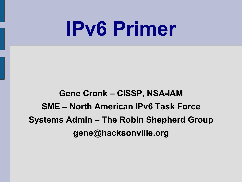# **IPv6 Primer**

### **Gene Cronk – CISSP, NSA-IAM SME – North American IPv6 Task Force Systems Admin – The Robin Shepherd Group gene@hacksonville.org**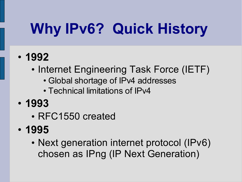# **Why IPv6? Quick History**

- **1992**
	- Internet Engineering Task Force (IETF)
		- Global shortage of IPv4 addresses
		- Technical limitations of IPv4
- **1993**
	- RFC1550 created
- **1995**
	- Next generation internet protocol (IPv6) chosen as IPng (IP Next Generation)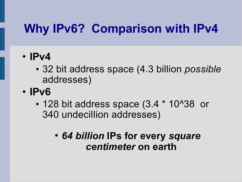- **IPv4**
	- 32 bit address space (4.3 billion *possible* addresses)
- **IPv6**
	- 128 bit address space (3.4  $*$  10^38 or 340 undecillion addresses)
		- *64 billion* **IPs for every** *square centimeter* **on earth**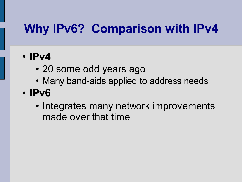- **IPv4**
	- 20 some odd years ago
	- Many band-aids applied to address needs
- **IPv6**
	- Integrates many network improvements made over that time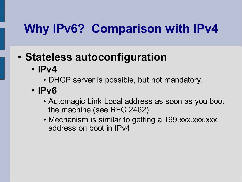### • **Stateless autoconfiguration**

- **IPv4**
	- DHCP server is possible, but not mandatory.
- **IPv6**
	- Automagic Link Local address as soon as you boot the machine (see RFC 2462)
	- Mechanism is similar to getting a 169 xxx.xxx.xxx address on boot in IPv4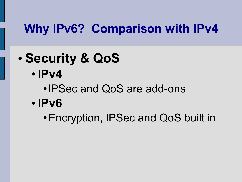- **Security & QoS**
	- **IPv4**
		- •IPSec and QoS are add-ons
	- **IPv6**
		- •Encryption, IPSec and QoS built in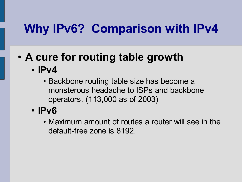## • **A cure for routing table growth**

- **IPv4**
	- Backbone routing table size has become a monsterous headache to ISPs and backbone operators. (113,000 as of 2003)
- **IPv6**
	- Maximum amount of routes a router will see in the default-free zone is 8192.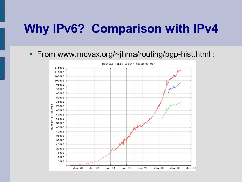#### • From www.mcvax.org/~jhma/routing/bgp-hist.html :

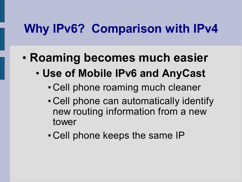- **Roaming becomes much easier**
	- **Use of Mobile IPv6 and AnyCast**
		- Cell phone roaming much cleaner
		- Cell phone can automatically identify new routing information from a new tower
		- Cell phone keeps the same IP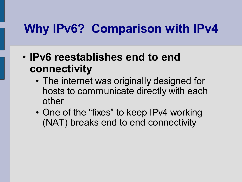- **IPv6 reestablishes end to end connectivity**
	- The internet was originally designed for hosts to communicate directly with each other
	- One of the "fixes" to keep IPv4 working (NAT) breaks end to end connectivity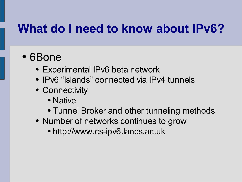## **What do I need to know about IPv6?**

- 6Bone
	- Experimental IPv6 beta network
	- IPv6 "Islands" connected via IPv4 tunnels
	- Connectivity
		- Native
		- Tunnel Broker and other tunneling methods
	- Number of networks continues to grow
		- http://www.cs-ipv6.lancs.ac.uk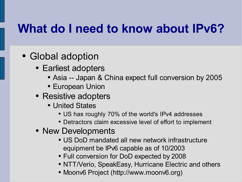## **What do I need to know about IPv6?**

- Global adoption
	- Earliest adopters
		- Asia -- Japan & China expect full conversion by 2005
		- European Union
	- Resistive adopters
		- United States
			- US has roughly 70% of the world's IPv4 addresses
			- Detractors claim excessive level of effort to implement
	- New Developments
		- US DoD mandated all new network infrastructure equipment be IPv6 capable as of 10/2003
		- Full conversion for DoD expected by 2008
		- NTT/Verio, SpeakEasy, Hurricane Electric and others
		- Moonv6 Project (http://www.moonv6.org)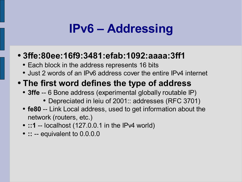## **IPv6 – Addressing**

#### ● **3ffe:80ee:16f9:3481:efab:1092:aaaa:3ff1**

- Each block in the address represents 16 bits
- Just 2 words of an IPv6 address cover the entire IPv4 internet

#### ● **The first word defines the type of address**

- **3ffe** -- 6 Bone address (experimental globally routable IP)
	- Depreciated in leiu of 2001: addresses (RFC 3701)
- **fe80** -- Link Local address, used to get information about the network (routers, etc.)
- **::1** -- localhost (127.0.0.1 in the IPv4 world)
- **::** -- equivalent to 0.0.0.0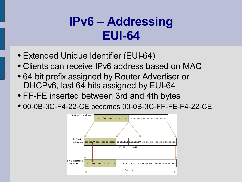## **IPv6 – Addressing EUI-64**

- Extended Unique Identifier (EUI-64)
- Clients can receive IPv6 address based on MAC
- 64 bit prefix assigned by Router Advertiser or DHCPv6, last 64 bits assigned by EUI-64
- FF-FE inserted between 3rd and 4th bytes
- 00-0B-3C-F4-22-CE becomes 00-0B-3C-FF-FE-F4-22-CE

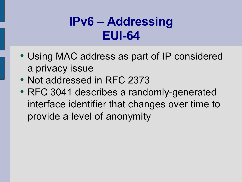## **IPv6 – Addressing EUI-64**

- Using MAC address as part of IP considered a privacy issue
- Not addressed in RFC 2373
- RFC 3041 describes a randomly-generated interface identifier that changes over time to provide a level of anonymity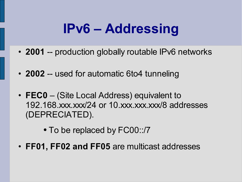## **IPv6 – Addressing**

- **2001** -- production globally routable IPv6 networks
- **2002** -- used for automatic 6to4 tunneling
- **FEC0** (Site Local Address) equivalent to 192.168.xxx.xxx/24 or 10.xxx.xxx.xxx/8 addresses (DEPRECIATED).
	- To be replaced by FC00::/7
- **FF01, FF02 and FF05** are multicast addresses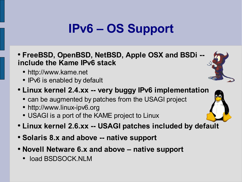## **IPv6 – OS Support**

- **FreeBSD, OpenBSD, NetBSD, Apple OSX and BSDi - include the Kame IPv6 stack**
	- http://www.kame.net
	- IPv6 is enabled by default

#### ● **Linux kernel 2.4.xx -- very buggy IPv6 implementation**

- can be augmented by patches from the USAGI project
- http://www.linux-ipv6.org
- USAGI is a port of the KAME project to Linux
- **Linux kernel 2.6.xx -- USAGI patches included by default**
- **Solaris 8.x and above -- native support**
- **Novell Netware 6.x and above – native support**
	- load BSDSOCK.NLM

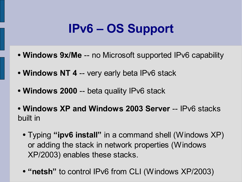## **IPv6 – OS Support**

- **Windows 9x/Me** -- no Microsoft supported IPv6 capability
- **Windows NT 4** -- very early beta IPv6 stack
- **Windows 2000** -- beta quality IPv6 stack
- **Windows XP and Windows 2003 Server** -- IPv6 stacks built in
	- Typing **"ipv6 install"** in a command shell (Windows XP) or adding the stack in network properties (Windows XP/2003) enables these stacks.
	- **"netsh"** to control IPv6 from CLI (Windows XP/2003)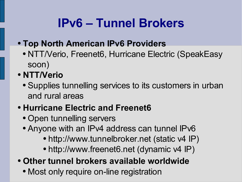## **IPv6 – Tunnel Brokers**

- **Top North American IPv6 Providers**
	- NTT/Verio, Freenet6, Hurricane Electric (SpeakEasy soon)
- **NTT/Verio**
	- Supplies tunnelling services to its customers in urban and rural areas

#### ● **Hurricane Electric and Freenet6**

- Open tunnelling servers
- Anyone with an IPv4 address can tunnel IPv6
	- http://www.tunnelbroker.net (static v4 IP)
	- http://www.freenet6.net (dynamic v4 IP)
- **Other tunnel brokers available worldwide**
	- Most only require on-line registration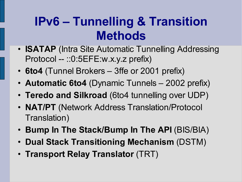## **IPv6 – Tunnelling & Transition Methods**

- **ISATAP** (Intra Site Automatic Tunnelling Addressing Protocol -- ::0:5EFE:w.x.y.z prefix)
- **6to4** (Tunnel Brokers 3ffe or 2001 prefix)
- **Automatic 6to4** (Dynamic Tunnels 2002 prefix)
- **Teredo and Silkroad** (6to4 tunnelling over UDP)
- **NAT/PT** (Network Address Translation/Protocol Translation)
- **Bump In The Stack/Bump In The API** (BIS/BIA)
- **Dual Stack Transitioning Mechanism** (DSTM)
- **Transport Relay Translator** (TRT)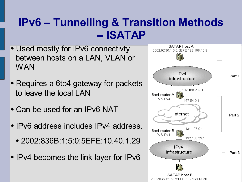### **IPv6 – Tunnelling & Transition Methods -- ISATAP**

- Used mostly for IPv6 connectivty between hosts on a LAN, VLAN or **WAN**
- Requires a 6to4 gateway for packets to leave the local LAN
- Can be used for an IPv6 NAT
- IPv6 address includes IPv4 address.
	- 2002:836B:1:5:0:5EFE:10.40.1.29
- IPv4 becomes the link layer for IPv6

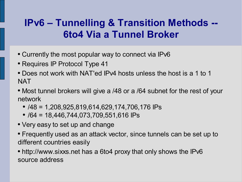### **IPv6 – Tunnelling & Transition Methods -- 6to4 Via a Tunnel Broker**

- Currently the most popular way to connect via IPv6
- Requires IP Protocol Type 41
- Does not work with NAT'ed IPv4 hosts unless the host is a 1 to 1 **NAT**
- Most tunnel brokers will give a /48 or a /64 subnet for the rest of your network
	- $\bullet$  /48 = 1,208,925,819,614,629,174,706,176 IPs
	- $\bullet$  /64 = 18,446,744,073,709,551,616 IPs
- Very easy to set up and change
- Frequently used as an attack vector, since tunnels can be set up to different countries easily
- http://www.sixxs.net has a 6to4 proxy that only shows the IPv6 source address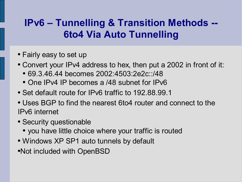### **IPv6 – Tunnelling & Transition Methods -- 6to4 Via Auto Tunnelling**

- Fairly easy to set up
- Convert your IPv4 address to hex, then put a 2002 in front of it:
	- 69.3.46.44 becomes 2002:4503:2e2c::/48
	- One IPv4 IP becomes a /48 subnet for IPv6
- Set default route for IPv6 traffic to 192.88.99.1
- Uses BGP to find the nearest 6to4 router and connect to the IPv6 internet
- Security questionable
	- you have little choice where your traffic is routed
- Windows XP SP1 auto tunnels by default
- •Not included with OpenBSD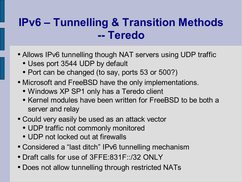### **IPv6 – Tunnelling & Transition Methods -- Teredo**

- Allows IPv6 tunnelling though NAT servers using UDP traffic
	- Uses port 3544 UDP by default
	- Port can be changed (to say, ports 53 or 500?)
- Microsoft and FreeBSD have the only implementations.
	- Windows XP SP1 only has a Teredo client
	- Kernel modules have been written for FreeBSD to be both a server and relay
- Could very easily be used as an attack vector
	- UDP traffic not commonly monitored
	- UDP not locked out at firewalls
- Considered a "last ditch" IPv6 tunnelling mechanism
- Draft calls for use of 3FFE:831F::/32 ONLY
- Does not allow tunnelling through restricted NATs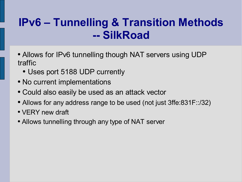### **IPv6 – Tunnelling & Transition Methods -- SilkRoad**

- Allows for IPv6 tunnelling though NAT servers using UDP traffic
	- Uses port 5188 UDP currently
- No current implementations
- Could also easily be used as an attack vector
- Allows for any address range to be used (not just 3ffe:831F::/32)
- VERY new draft
- Allows tunnelling through any type of NAT server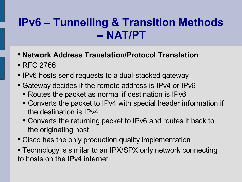### **IPv6 – Tunnelling & Transition Methods -- NAT/PT**

- **Network Address Translation/Protocol Translation**
- RFC 2766
- IPv6 hosts send requests to a dual-stacked gateway
- Gateway decides if the remote address is IPv4 or IPv6
	- Routes the packet as normal if destination is IPv6
	- Converts the packet to IPv4 with special header information if the destination is IPv4
	- Converts the returning packet to IPv6 and routes it back to the originating host
- Cisco has the only production quality implementation
- Technology is similar to an IPX/SPX only network connecting to hosts on the IPv4 internet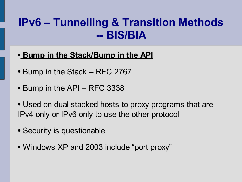### **IPv6 – Tunnelling & Transition Methods -- BIS/BIA**

- **Bump in the Stack/Bump in the API**
- Bump in the Stack RFC 2767
- $\bullet$  Bump in the API RFC 3338
- Used on dual stacked hosts to proxy programs that are IPv4 only or IPv6 only to use the other protocol
- Security is questionable
- Windows XP and 2003 include "port proxy"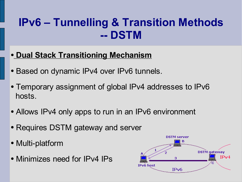### **IPv6 – Tunnelling & Transition Methods -- DSTM**

#### ● **Dual Stack Transitioning Mechanism**

- Based on dynamic IPv4 over IPv6 tunnels.
- Temporary assignment of global IPv4 addresses to IPv6 hosts.
- Allows IPv4 only apps to run in an IPv6 environment
- Requires DSTM gateway and server
- Multi-platform
- Minimizes need for IPv4 IPs

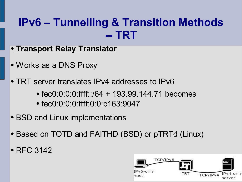### **IPv6 – Tunnelling & Transition Methods -- TRT**

- **Transport Relay Translator**
- Works as a DNS Proxy
- TRT server translates IPv4 addresses to IPv6
	- $\bullet$  fec0:0:0:0:ffff::/64 + 193.99.144.71 becomes
	- fec0:0:0:0:ffff:0:0:c163:9047
- BSD and Linux implementations
- Based on TOTD and FAITHD (BSD) or pTRTd (Linux)
- RFC 3142

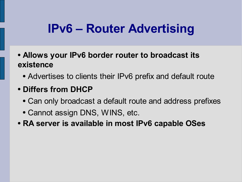## **IPv6 – Router Advertising**

- **Allows your IPv6 border router to broadcast its existence**
	- Advertises to clients their IPv6 prefix and default route

#### ● **Differs from DHCP**

- Can only broadcast a default route and address prefixes
- Cannot assign DNS, WINS, etc.
- **RA server is available in most IPv6 capable OSes**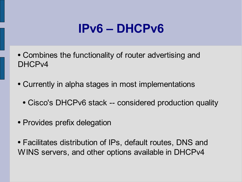## **IPv6 – DHCPv6**

- Combines the functionality of router advertising and DHCPv4
- Currently in alpha stages in most implementations
	- Cisco's DHCPv6 stack -- considered production quality
- Provides prefix delegation
- Facilitates distribution of IPs, default routes, DNS and WINS servers, and other options available in DHCPv4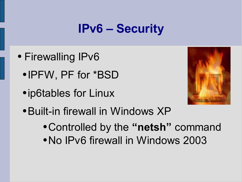## **IPv6 – Security**

- Firewalling IPv6
	- IPFW, PF for \*BSD
	- ip6tables for Linux



- Built-in firewall in Windows XP
	- Controlled by the **"netsh"** command
	- No IPv6 firewall in Windows 2003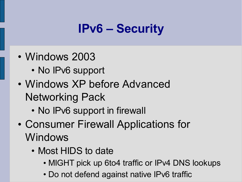## **IPv6 – Security**

- Windows 2003
	- No IPv6 support
- Windows XP before Advanced Networking Pack
	- No IPv6 support in firewall
- Consumer Firewall Applications for Windows
	- Most HIDS to date
		- MIGHT pick up 6to4 traffic or IPv4 DNS lookups
		- Do not defend against native IPv6 traffic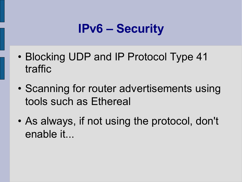## **IPv6 – Security**

- Blocking UDP and IP Protocol Type 41 traffic
- Scanning for router advertisements using tools such as Ethereal
- As always, if not using the protocol, don't enable it...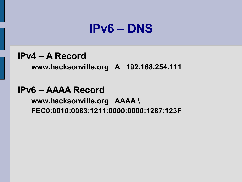## **IPv6 – DNS**

#### **IPv4 – A Record**

**www.hacksonville.org A 192.168.254.111**

#### **IPv6 – AAAA Record**

**www.hacksonville.org AAAA \ FEC0:0010:0083:1211:0000:0000:1287:123F**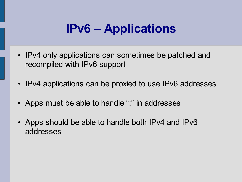## **IPv6 – Applications**

- IPv4 only applications can sometimes be patched and recompiled with IPv6 support
- IPv4 applications can be proxied to use IPv6 addresses
- Apps must be able to handle ":" in addresses
- Apps should be able to handle both IPv4 and IPv6 addresses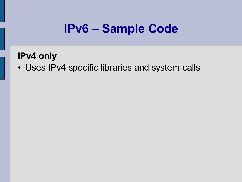## **IPv6 – Sample Code**

#### **IPv4 only**

• Uses IPv4 specific libraries and system calls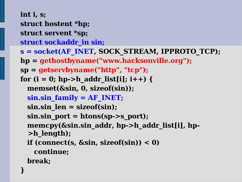**int i, s; struct hostent \*hp; struct servent \*sp; struct sockaddr\_in sin; s = socket(AF\_INET, SOCK\_STREAM, IPPROTO\_TCP); hp = gethostbyname("www.hacksonville.org"); sp = getservbyname("http" , "tcp"); for (i = 0; hp->h\_addr\_list[i]; i++) { memset(&sin, 0, sizeof(sin)); sin.sin\_family = AF\_INET; sin.sin\_len = sizeof(sin); sin.sin\_port = htons(sp->s\_port); memcpy(&sin.sin\_addr, hp->h\_addr\_list[i], hp- >h\_length); if (connect(s, &sin, sizeof(sin)) < 0) continue; break; }**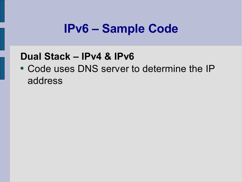## **IPv6 – Sample Code**

#### **Dual Stack – IPv4 & IPv6**

• Code uses DNS server to determine the IP address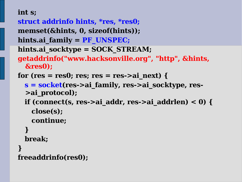#### **int s;**

**struct addrinfo hints, \*res, \*res0; memset(&hints, 0, sizeof(hints)); hints.ai\_family = PF\_UNSPEC;**

- **hints.ai\_socktype = SOCK\_STREAM;**
- **getaddrinfo("www.hacksonville.org" , "http" , &hints, &res0);**
- for  $(res = res0; res; res = res->ai next)$  {
	- **s = socket(res->ai\_family, res->ai\_socktype, res- >ai\_protocol);**
	- **if (connect(s, res->ai\_addr, res->ai\_addrlen) < 0) { close(s);**

**continue;**

#### **}**

**break;**

#### **} freeaddrinfo(res0);**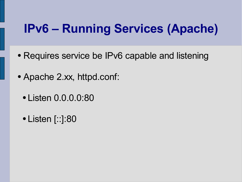## **IPv6 – Running Services (Apache)**

- Requires service be IPv6 capable and listening
- Apache 2.xx, httpd.conf:
	- Listen 0.0.0.0:80
	- Listen [::]:80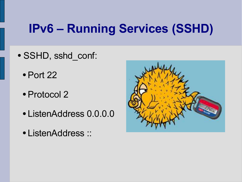## **IPv6 – Running Services (SSHD)**

- SSHD, sshd\_conf:
	- $\bullet$  Port 22
	- Protocol 2
	- ListenAddress 0.0.0.0
	- ListenAddress ::

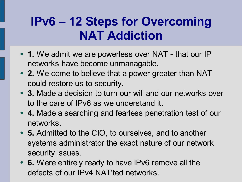## **IPv6 – 12 Steps for Overcoming NAT Addiction**

- 1. We admit we are powerless over NAT that our IP networks have become unmanagable.
- 2. We come to believe that a power greater than NAT could restore us to security.
- 3. Made a decision to turn our will and our networks over to the care of IPv6 as we understand it.
- 4. Made a searching and fearless penetration test of our networks.
- **5.** Admitted to the CIO, to ourselves, and to another systems administrator the exact nature of our network security issues.
- **6.** Were entirely ready to have IPv6 remove all the defects of our IPv4 NAT'ted networks.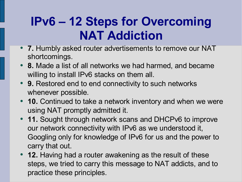## **IPv6 – 12 Steps for Overcoming NAT Addiction**

- **7.** Humbly asked router advertisements to remove our NAT shortcomings.
- 8. Made a list of all networks we had harmed, and became willing to install IPv6 stacks on them all.
- 9. Restored end to end connectivity to such networks whenever possible.
- **10.** Continued to take a network inventory and when we were using NAT promptly admitted it.
- **11.** Sought through network scans and DHCPv6 to improve our network connectivity with IPv6 as we understood it, Googling only for knowledge of IPv6 for us and the power to carry that out.
- **12.** Having had a router awakening as the result of these steps, we tried to carry this message to NAT addicts, and to practice these principles.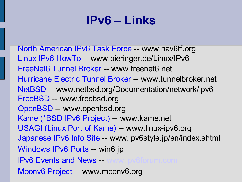## **IPv6 – Links**

North American IPv6 Task Force -- www.nav6tf.org Linux IPv6 HowTo -- www.bieringer.de/Linux/IPv6 FreeNet6 Tunnel Broker -- www.freenet6.net Hurricane Electric Tunnel Broker -- www.tunnelbroker.net NetBSD -- www.netbsd.org/Documentation/network/ipv6 FreeBSD -- www.freebsd.org OpenBSD -- www.openbsd.org Kame (\*BSD IPv6 Project) -- www.kame.net USAGI (Linux Port of Kame) -- www.linux-ipv6.org Japanese IPv6 Info Site -- www.ipv6style.jp/en/index.shtml Windows IPv6 Ports -- win6.jp **IPv6 Events and News --**Moonv6 Project -- www.moonv6.org